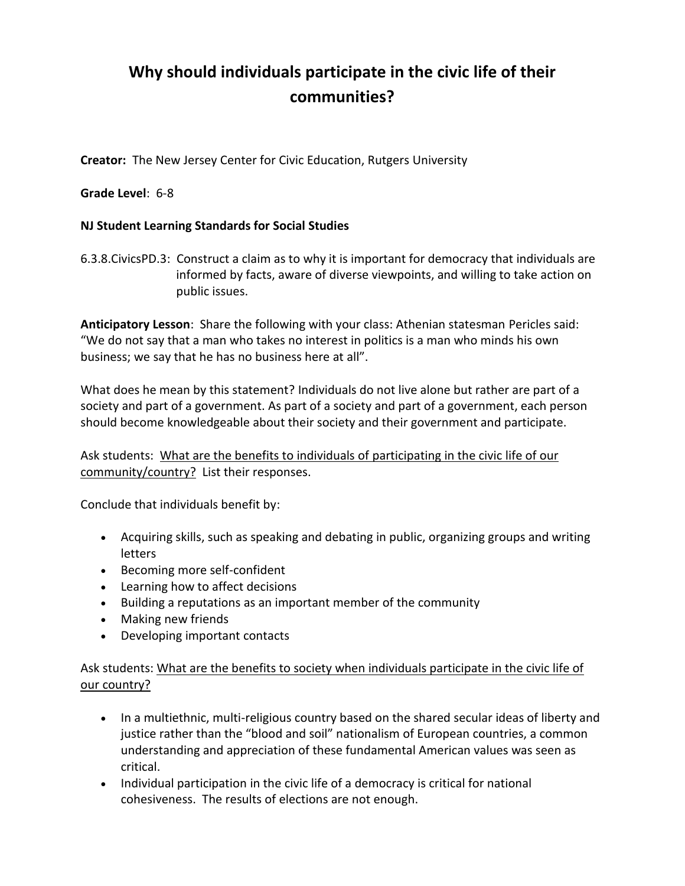## **Why should individuals participate in the civic life of their communities?**

**Creator:** The New Jersey Center for Civic Education, Rutgers University

## **Grade Level**: 6-8

## **NJ Student Learning Standards for Social Studies**

6.3.8.CivicsPD.3: Construct a claim as to why it is important for democracy that individuals are informed by facts, aware of diverse viewpoints, and willing to take action on public issues.

**Anticipatory Lesson**: Share the following with your class: Athenian statesman Pericles said: "We do not say that a man who takes no interest in politics is a man who minds his own business; we say that he has no business here at all".

What does he mean by this statement? Individuals do not live alone but rather are part of a society and part of a government. As part of a society and part of a government, each person should become knowledgeable about their society and their government and participate.

Ask students: What are the benefits to individuals of participating in the civic life of our community/country? List their responses.

Conclude that individuals benefit by:

- Acquiring skills, such as speaking and debating in public, organizing groups and writing letters
- Becoming more self-confident
- Learning how to affect decisions
- Building a reputations as an important member of the community
- Making new friends
- Developing important contacts

Ask students: What are the benefits to society when individuals participate in the civic life of our country?

- In a multiethnic, multi-religious country based on the shared secular ideas of liberty and justice rather than the "blood and soil" nationalism of European countries, a common understanding and appreciation of these fundamental American values was seen as critical.
- Individual participation in the civic life of a democracy is critical for national cohesiveness. The results of elections are not enough.